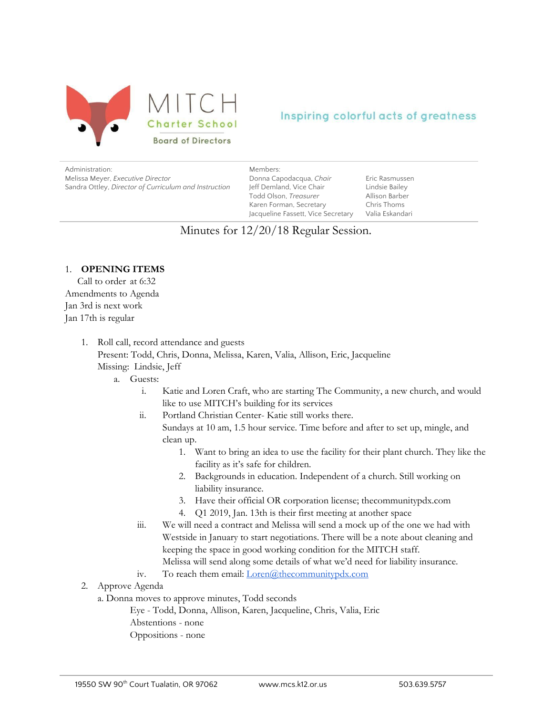

# Inspiring colorful acts of greatness

Administration: Melissa Meyer, *Executive Director* Sandra Ottley, *Director of Curriculum and Instruction* Members: Donna Capodacqua, *Chair* Jeff Demland, Vice Chair Todd Olson, *Treasurer* Karen Forman, Secretary Jacqueline Fassett, Vice Secretary

Eric Rasmussen Lindsie Bailey Allison Barber Chris Thoms Valia Eskandari

# Minutes for 12/20/18 Regular Session.

# 1. **OPENING ITEMS**

Call to order at 6:32 Amendments to Agenda Jan 3rd is next work Jan 17th is regular

- 1. Roll call, record attendance and guests Present: Todd, Chris, Donna, Melissa, Karen, Valia, Allison, Eric, Jacqueline Missing: Lindsie, Jeff
	- a. Guests:
		- i. Katie and Loren Craft, who are starting The Community, a new church, and would like to use MITCH's building for its services
		- ii. Portland Christian Center- Katie still works there.
			- Sundays at 10 am, 1.5 hour service. Time before and after to set up, mingle, and clean up.
				- 1. Want to bring an idea to use the facility for their plant church. They like the facility as it's safe for children.
				- 2. Backgrounds in education. Independent of a church. Still working on liability insurance.
				- 3. Have their official OR corporation license; thecommunitypdx.com
				- 4. Q1 2019, Jan. 13th is their first meeting at another space
		- iii. We will need a contract and Melissa will send a mock up of the one we had with Westside in January to start negotiations. There will be a note about cleaning and keeping the space in good working condition for the MITCH staff. Melissa will send along some details of what we'd need for liability insurance.
		- iv. To reach them email: *[Loren@thecommunitypdx.com](mailto:Loren@thecommunitypdx.com)*
- 2. Approve Agenda
	- a. Donna moves to approve minutes, Todd seconds
		- Eye Todd, Donna, Allison, Karen, Jacqueline, Chris, Valia, Eric Abstentions - none
		- Oppositions none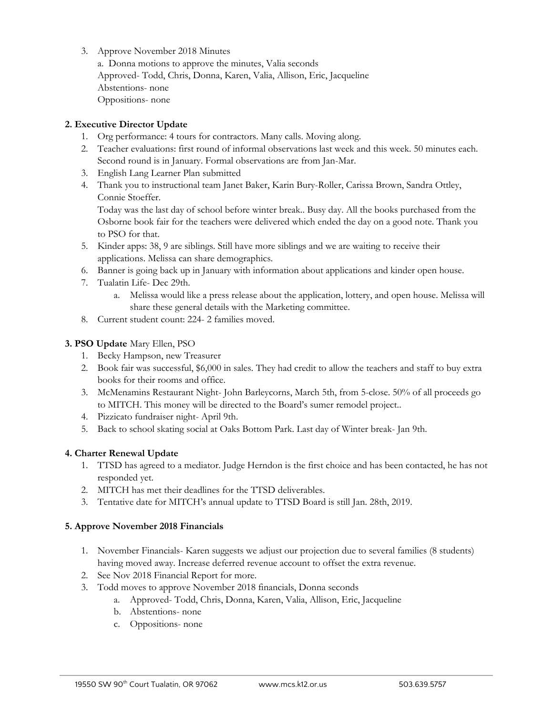3. Approve November 2018 Minutes

a. Donna motions to approve the minutes, Valia seconds Approved- Todd, Chris, Donna, Karen, Valia, Allison, Eric, Jacqueline Abstentions- none Oppositions- none

# **2. Executive Director Update**

- 1. Org performance: 4 tours for contractors. Many calls. Moving along.
- 2. Teacher evaluations: first round of informal observations last week and this week. 50 minutes each. Second round is in January. Formal observations are from Jan-Mar.
- 3. English Lang Learner Plan submitted
- 4. Thank you to instructional team Janet Baker, Karin Bury-Roller, Carissa Brown, Sandra Ottley, Connie Stoeffer.

Today was the last day of school before winter break.. Busy day. All the books purchased from the Osborne book fair for the teachers were delivered which ended the day on a good note. Thank you to PSO for that.

- 5. Kinder apps: 38, 9 are siblings. Still have more siblings and we are waiting to receive their applications. Melissa can share demographics.
- 6. Banner is going back up in January with information about applications and kinder open house.
- 7. Tualatin Life- Dec 29th.
	- a. Melissa would like a press release about the application, lottery, and open house. Melissa will share these general details with the Marketing committee.
- 8. Current student count: 224- 2 families moved.

## **3. PSO Update** Mary Ellen, PSO

- 1. Becky Hampson, new Treasurer
- 2. Book fair was successful, \$6,000 in sales. They had credit to allow the teachers and staff to buy extra books for their rooms and office.
- 3. McMenamins Restaurant Night- John Barleycorns, March 5th, from 5-close. 50% of all proceeds go to MITCH. This money will be directed to the Board's sumer remodel project..
- 4. Pizzicato fundraiser night- April 9th.
- 5. Back to school skating social at Oaks Bottom Park. Last day of Winter break- Jan 9th.

#### **4. Charter Renewal Update**

- 1. TTSD has agreed to a mediator. Judge Herndon is the first choice and has been contacted, he has not responded yet.
- 2. MITCH has met their deadlines for the TTSD deliverables.
- 3. Tentative date for MITCH's annual update to TTSD Board is still Jan. 28th, 2019.

#### **5. Approve November 2018 Financials**

- 1. November Financials- Karen suggests we adjust our projection due to several families (8 students) having moved away. Increase deferred revenue account to offset the extra revenue.
- 2. See Nov 2018 Financial Report for more.
- 3. Todd moves to approve November 2018 financials, Donna seconds
	- a. Approved- Todd, Chris, Donna, Karen, Valia, Allison, Eric, Jacqueline
	- b. Abstentions- none
	- c. Oppositions- none